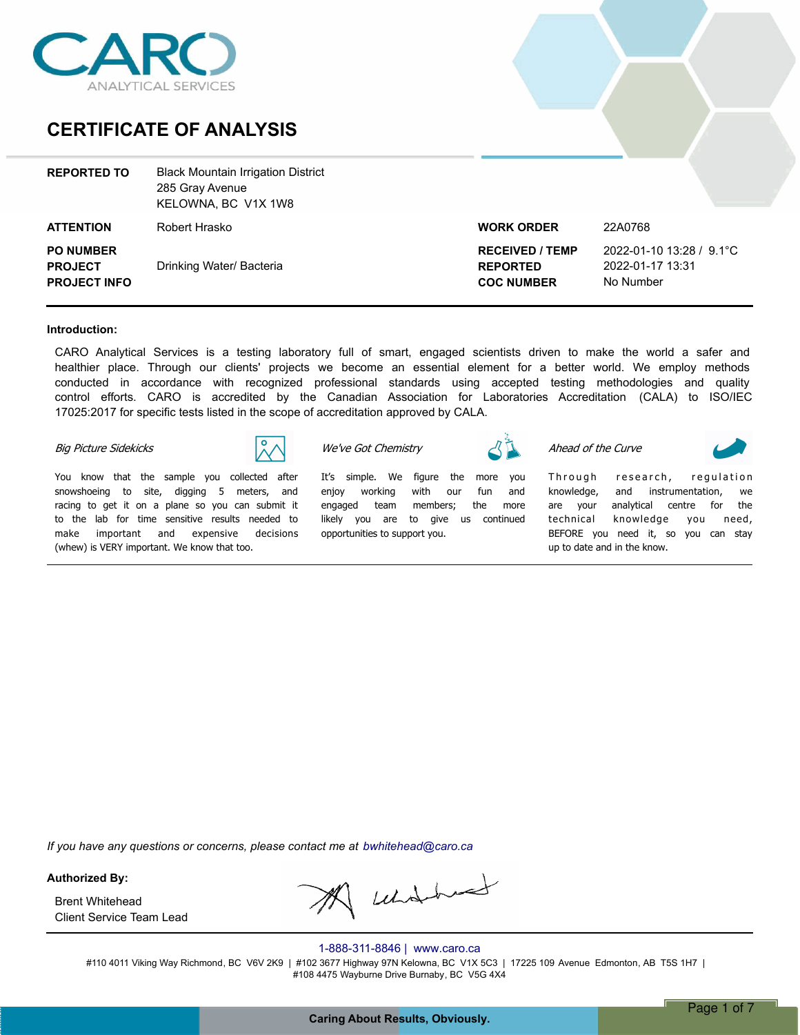

## **CERTIFICATE OF ANALYSIS**

| <b>REPORTED TO</b>                                        | <b>Black Mountain Irrigation District</b><br>285 Gray Avenue<br>KELOWNA, BC V1X 1W8 |                                                                |                                                           |
|-----------------------------------------------------------|-------------------------------------------------------------------------------------|----------------------------------------------------------------|-----------------------------------------------------------|
| <b>ATTENTION</b>                                          | Robert Hrasko                                                                       | <b>WORK ORDER</b>                                              | 22A0768                                                   |
| <b>PO NUMBER</b><br><b>PROJECT</b><br><b>PROJECT INFO</b> | Drinking Water/ Bacteria                                                            | <b>RECEIVED / TEMP</b><br><b>REPORTED</b><br><b>COC NUMBER</b> | 2022-01-10 13:28 / 9.1°C<br>2022-01-17 13:31<br>No Number |

#### **Introduction:**

CARO Analytical Services is a testing laboratory full of smart, engaged scientists driven to make the world a safer and healthier place. Through our clients' projects we become an essential element for a better world. We employ methods conducted in accordance with recognized professional standards using accepted testing methodologies and quality control efforts. CARO is accredited by the Canadian Association for Laboratories Accreditation (CALA) to ISO/IEC 17025:2017 for specific tests listed in the scope of accreditation approved by CALA.

*We've Got Chemistry*

#### *Big Picture Sidekicks*



*You know that the sample you collected after snowshoeing to site, digging 5 meters, and racing to get it on a plane so you can submit it to the lab for time sensitive results needed to make important and expensive decisions (whew) is VERY important. We know that too.*

*Itís simple. We figure the more you enjoy working with our fun and engaged team members; the more likely you are to give us continued opportunities to support you.*

*Ahead of the Curve*

Through research, regulation *knowledge, and instrumentation, we are your analytical centre for the technical knowledge you need, BEFORE you need it, so you can stay up to date and in the know.*

*If you have any questions or concerns, please contact me at bwhitehead@caro.ca*

**Authorized By:**

Client Service Team Lead Brent Whitehead

A undbud

#### 1-888-311-8846 | www.caro.ca

#110 4011 Viking Way Richmond, BC V6V 2K9 | #102 3677 Highway 97N Kelowna, BC V1X 5C3 | 17225 109 Avenue Edmonton, AB T5S 1H7 | #108 4475 Wayburne Drive Burnaby, BC V5G 4X4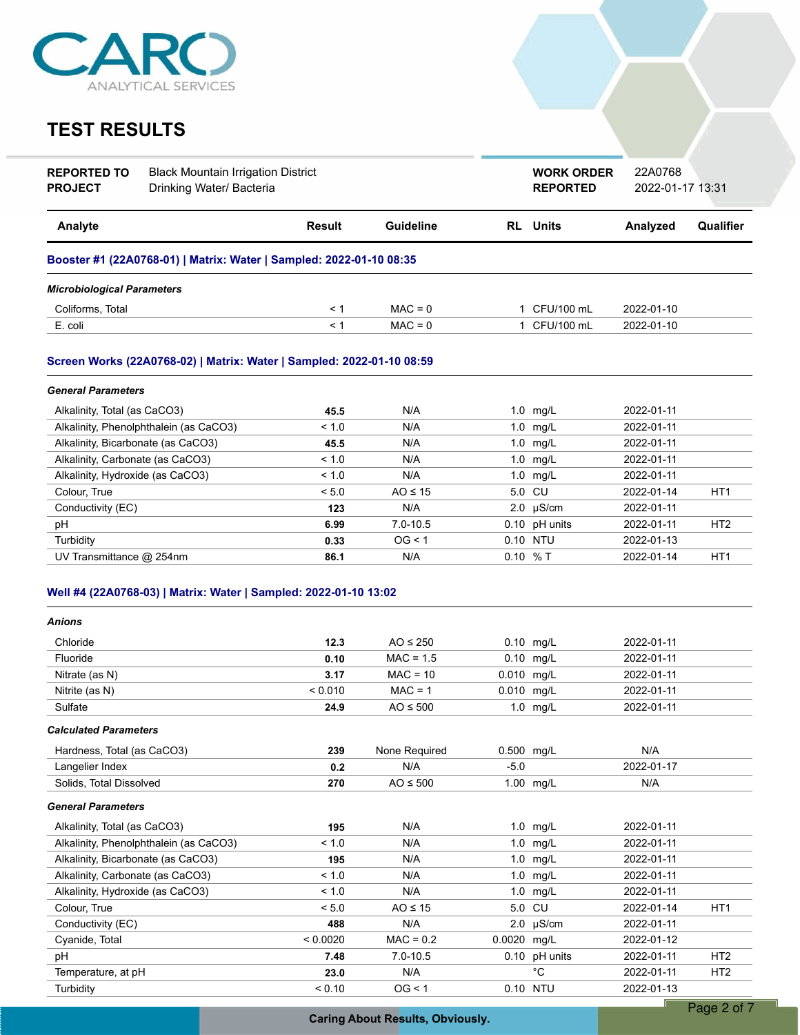

| <b>REPORTED TO</b><br><b>PROJECT</b> | <b>Black Mountain Irrigation District</b><br>Drinking Water/ Bacteria |               |                  | <b>WORK ORDER</b><br><b>REPORTED</b> | 22A0768<br>2022-01-17 13:31 |                 |
|--------------------------------------|-----------------------------------------------------------------------|---------------|------------------|--------------------------------------|-----------------------------|-----------------|
| Analyte                              |                                                                       | <b>Result</b> | <b>Guideline</b> | <b>RL</b> Units                      | Analyzed                    | Qualifier       |
|                                      | Booster #1 (22A0768-01)   Matrix: Water   Sampled: 2022-01-10 08:35   |               |                  |                                      |                             |                 |
| <b>Microbiological Parameters</b>    |                                                                       |               |                  |                                      |                             |                 |
| Coliforms, Total                     |                                                                       | < 1           | $MAC = 0$        | 1 CFU/100 mL                         | 2022-01-10                  |                 |
| E. coli                              |                                                                       | < 1           | $MAC = 0$        | 1 CFU/100 mL                         | 2022-01-10                  |                 |
|                                      | Screen Works (22A0768-02)   Matrix: Water   Sampled: 2022-01-10 08:59 |               |                  |                                      |                             |                 |
| <b>General Parameters</b>            |                                                                       |               |                  |                                      |                             |                 |
| Alkalinity, Total (as CaCO3)         |                                                                       | 45.5          | N/A              | $1.0$ mg/L                           | 2022-01-11                  |                 |
|                                      | Alkalinity, Phenolphthalein (as CaCO3)                                | < 1.0         | N/A              | $1.0$ mg/L                           | 2022-01-11                  |                 |
| Alkalinity, Bicarbonate (as CaCO3)   |                                                                       | 45.5          | N/A              | $1.0$ mg/L                           | 2022-01-11                  |                 |
| Alkalinity, Carbonate (as CaCO3)     |                                                                       | < 1.0         | N/A              | $1.0$ mg/L                           | 2022-01-11                  |                 |
| Alkalinity, Hydroxide (as CaCO3)     |                                                                       | < 1.0         | N/A              | 1.0 mg/L                             | 2022-01-11                  |                 |
| Colour, True                         |                                                                       | < 5.0         | $AO \leq 15$     | 5.0 CU                               | 2022-01-14                  | HT <sub>1</sub> |
| Conductivity (EC)                    |                                                                       | 123           | N/A              | $2.0 \text{ }\mu\text{S/cm}$         | 2022-01-11                  |                 |
| pH                                   |                                                                       | 6.99          | $7.0 - 10.5$     | 0.10 pH units                        | 2022-01-11                  | HT <sub>2</sub> |
| Turbidity                            |                                                                       | 0.33          | OG < 1           | 0.10 NTU                             | 2022-01-13                  |                 |

| <b>Anions</b>                          |          |               |                              |            |                 |
|----------------------------------------|----------|---------------|------------------------------|------------|-----------------|
| Chloride                               | 12.3     | $AO \leq 250$ | 0.10 mg/L                    | 2022-01-11 |                 |
| Fluoride                               | 0.10     | $MAC = 1.5$   | $0.10$ mg/L                  | 2022-01-11 |                 |
| Nitrate (as N)                         | 3.17     | $MAC = 10$    | 0.010 mg/L                   | 2022-01-11 |                 |
| Nitrite (as N)                         | < 0.010  | $MAC = 1$     | 0.010 mg/L                   | 2022-01-11 |                 |
| Sulfate                                | 24.9     | $AO \leq 500$ | $1.0$ mg/L                   | 2022-01-11 |                 |
| <b>Calculated Parameters</b>           |          |               |                              |            |                 |
| Hardness, Total (as CaCO3)             | 239      | None Required | 0.500 mg/L                   | N/A        |                 |
| Langelier Index                        | 0.2      | N/A           | $-5.0$                       | 2022-01-17 |                 |
| Solids, Total Dissolved                | 270      | $AO \leq 500$ | 1.00 mg/L                    | N/A        |                 |
| <b>General Parameters</b>              |          |               |                              |            |                 |
| Alkalinity, Total (as CaCO3)           | 195      | N/A           | $1.0$ mg/L                   | 2022-01-11 |                 |
| Alkalinity, Phenolphthalein (as CaCO3) | < 1.0    | N/A           | $1.0$ mg/L                   | 2022-01-11 |                 |
| Alkalinity, Bicarbonate (as CaCO3)     | 195      | N/A           | 1.0 $mg/L$                   | 2022-01-11 |                 |
| Alkalinity, Carbonate (as CaCO3)       | < 1.0    | N/A           | 1.0<br>mg/L                  | 2022-01-11 |                 |
| Alkalinity, Hydroxide (as CaCO3)       | < 1.0    | N/A           | 1.0<br>mg/L                  | 2022-01-11 |                 |
| Colour, True                           | < 5.0    | $AO \leq 15$  | 5.0 CU                       | 2022-01-14 | HT <sub>1</sub> |
| Conductivity (EC)                      | 488      | N/A           | $2.0 \text{ }\mu\text{S/cm}$ | 2022-01-11 |                 |
| Cyanide, Total                         | < 0.0020 | $MAC = 0.2$   | 0.0020 mg/L                  | 2022-01-12 |                 |
| pH                                     | 7.48     | $7.0 - 10.5$  | $0.10$ pH units              | 2022-01-11 | HT <sub>2</sub> |
| Temperature, at pH                     | 23.0     | N/A           | $^{\circ}C$                  | 2022-01-11 | HT <sub>2</sub> |
| Turbidity                              | < 0.10   | OG < 1        | 0.10 NTU                     | 2022-01-13 |                 |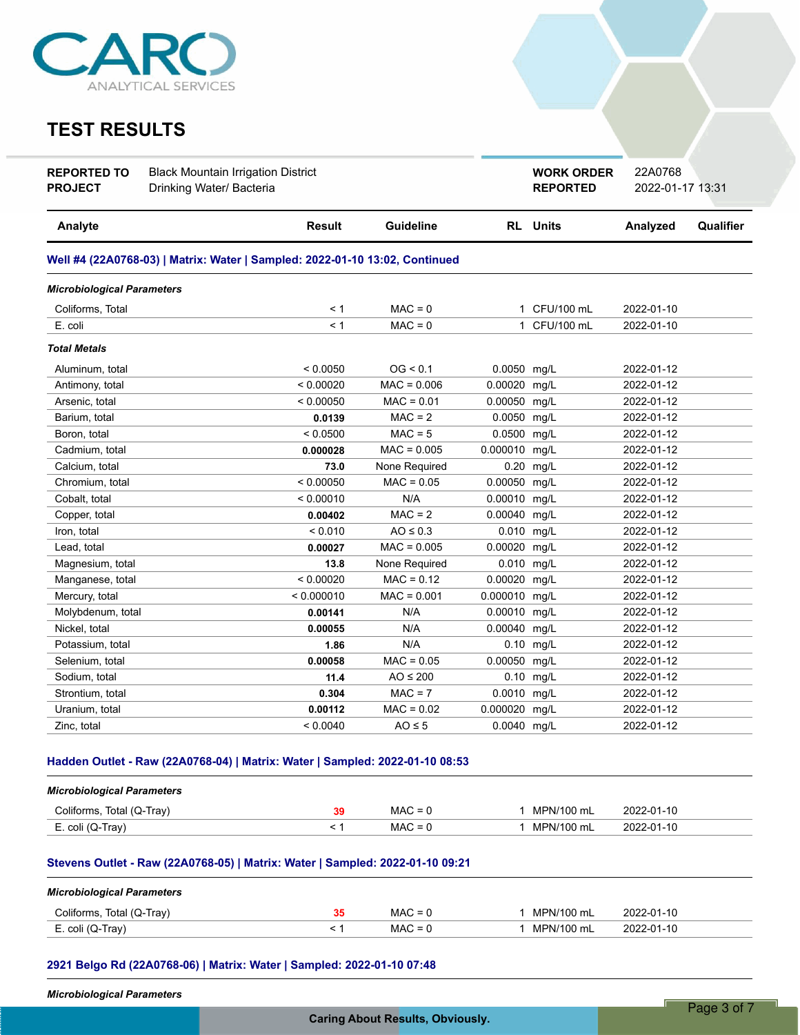

| <b>REPORTED TO</b><br><b>PROJECT</b> | <b>Black Mountain Irrigation District</b><br>Drinking Water/ Bacteria       |               |               |               | <b>WORK ORDER</b><br><b>REPORTED</b> | 22A0768<br>2022-01-17 13:31 |           |
|--------------------------------------|-----------------------------------------------------------------------------|---------------|---------------|---------------|--------------------------------------|-----------------------------|-----------|
| Analyte                              |                                                                             | <b>Result</b> | Guideline     |               | <b>RL</b> Units                      | Analyzed                    | Qualifier |
|                                      | Well #4 (22A0768-03)   Matrix: Water   Sampled: 2022-01-10 13:02, Continued |               |               |               |                                      |                             |           |
| <b>Microbiological Parameters</b>    |                                                                             |               |               |               |                                      |                             |           |
| Coliforms, Total                     |                                                                             | < 1           | $MAC = 0$     |               | 1 CFU/100 mL                         | 2022-01-10                  |           |
| E. coli                              |                                                                             | < 1           | $MAC = 0$     |               | 1 CFU/100 mL                         | 2022-01-10                  |           |
| <b>Total Metals</b>                  |                                                                             |               |               |               |                                      |                             |           |
| Aluminum, total                      |                                                                             | < 0.0050      | OG < 0.1      | 0.0050 mg/L   |                                      | 2022-01-12                  |           |
| Antimony, total                      |                                                                             | < 0.00020     | $MAC = 0.006$ | 0.00020       | mg/L                                 | 2022-01-12                  |           |
| Arsenic, total                       |                                                                             | < 0.00050     | $MAC = 0.01$  | 0.00050       | mg/L                                 | 2022-01-12                  |           |
| Barium, total                        |                                                                             | 0.0139        | $MAC = 2$     | 0.0050 mg/L   |                                      | 2022-01-12                  |           |
| Boron, total                         |                                                                             | < 0.0500      | $MAC = 5$     | 0.0500 mg/L   |                                      | 2022-01-12                  |           |
| Cadmium, total                       |                                                                             | 0.000028      | $MAC = 0.005$ | 0.000010      | mg/L                                 | 2022-01-12                  |           |
| Calcium, total                       |                                                                             | 73.0          | None Required | 0.20          | mg/L                                 | 2022-01-12                  |           |
| Chromium, total                      |                                                                             | < 0.00050     | $MAC = 0.05$  | 0.00050       | mg/L                                 | 2022-01-12                  |           |
| Cobalt, total                        |                                                                             | < 0.00010     | N/A           | 0.00010 mg/L  |                                      | 2022-01-12                  |           |
| Copper, total                        |                                                                             | 0.00402       | $MAC = 2$     | 0.00040 mg/L  |                                      | 2022-01-12                  |           |
| Iron, total                          |                                                                             | < 0.010       | $AO \leq 0.3$ | 0.010 mg/L    |                                      | 2022-01-12                  |           |
| Lead, total                          |                                                                             | 0.00027       | $MAC = 0.005$ | 0.00020       | mg/L                                 | 2022-01-12                  |           |
| Magnesium, total                     |                                                                             | 13.8          | None Required | 0.010 mg/L    |                                      | 2022-01-12                  |           |
| Manganese, total                     |                                                                             | < 0.00020     | $MAC = 0.12$  | 0.00020 mg/L  |                                      | 2022-01-12                  |           |
| Mercury, total                       |                                                                             | < 0.000010    | $MAC = 0.001$ | 0.000010 mg/L |                                      | 2022-01-12                  |           |
| Molybdenum, total                    |                                                                             | 0.00141       | N/A           | 0.00010 mg/L  |                                      | 2022-01-12                  |           |
| Nickel, total                        |                                                                             | 0.00055       | N/A           | 0.00040       | mg/L                                 | 2022-01-12                  |           |
| Potassium, total                     |                                                                             | 1.86          | N/A           |               | 0.10 mg/L                            | 2022-01-12                  |           |
| Selenium, total                      |                                                                             | 0.00058       | $MAC = 0.05$  | 0.00050 mg/L  |                                      | 2022-01-12                  |           |
| Sodium, total                        |                                                                             | 11.4          | $AO \leq 200$ |               | $0.10$ mg/L                          | 2022-01-12                  |           |
| Strontium, total                     |                                                                             | 0.304         | $MAC = 7$     | 0.0010 mg/L   |                                      | 2022-01-12                  |           |
| Uranium, total                       |                                                                             | 0.00112       | $MAC = 0.02$  | 0.000020      | mg/L                                 | 2022-01-12                  |           |
| Zinc, total                          |                                                                             | < 0.0040      | $AO \leq 5$   | 0.0040 mg/L   |                                      | 2022-01-12                  |           |

### **Hadden Outlet - Raw (22A0768-04) | Matrix: Water | Sampled: 2022-01-10 08:53**

| <b>Microbiological Parameters</b> |    |           |            |            |
|-----------------------------------|----|-----------|------------|------------|
| Coliforms, Total (Q-Tray)         | 39 | $MAC = 0$ | MPN/100 mL | 2022-01-10 |
| E. coli (Q-Tray)                  |    | $MAC = 0$ | MPN/100 mL | 2022-01-10 |

### **Stevens Outlet - Raw (22A0768-05) | Matrix: Water | Sampled: 2022-01-10 09:21**

| <b>Microbiological Parameters</b> |    |           |            |            |
|-----------------------------------|----|-----------|------------|------------|
| Coliforms, Total (Q-Tray)         | 35 | $MAC = 0$ | MPN/100 mL | 2022-01-10 |
| E. coli (Q-Tray)                  |    | $MAC = 0$ | MPN/100 mL | 2022-01-10 |

### **2921 Belgo Rd (22A0768-06) | Matrix: Water | Sampled: 2022-01-10 07:48**

*Microbiological Parameters*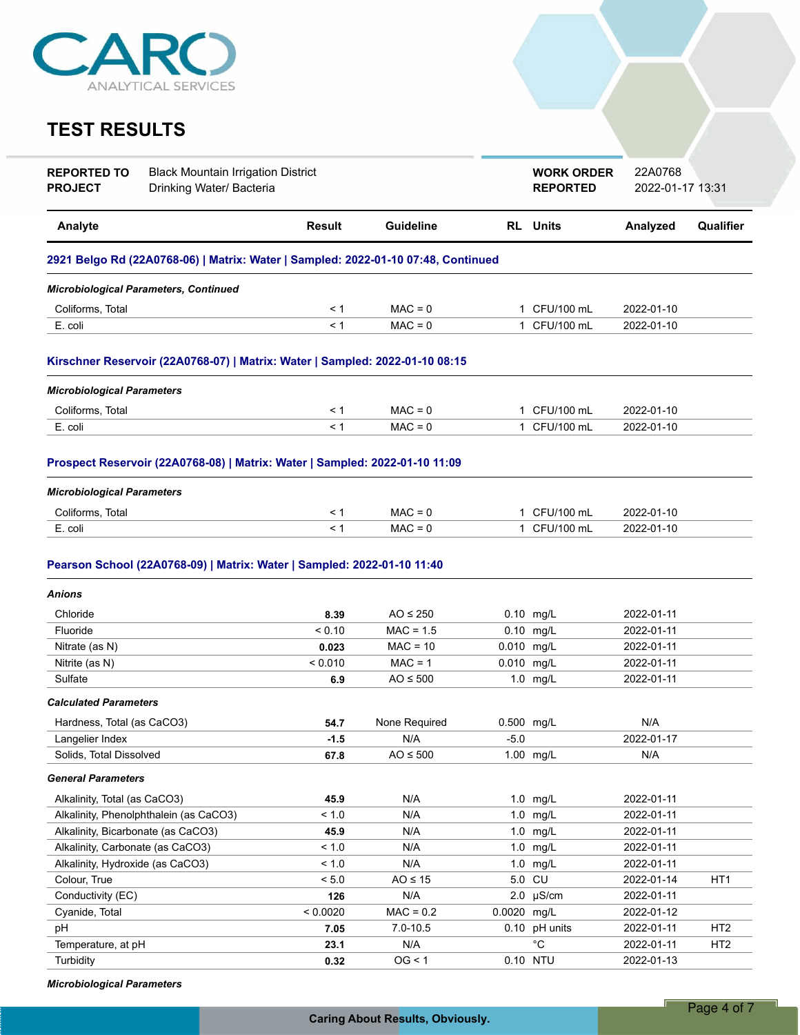

| <b>REPORTED TO</b><br><b>PROJECT</b> | <b>Black Mountain Irrigation District</b><br>Drinking Water/ Bacteria             |          |                  |             | <b>WORK ORDER</b><br><b>REPORTED</b> | 22A0768<br>2022-01-17 13:31 |                 |
|--------------------------------------|-----------------------------------------------------------------------------------|----------|------------------|-------------|--------------------------------------|-----------------------------|-----------------|
| Analyte                              |                                                                                   | Result   | <b>Guideline</b> |             | <b>RL</b> Units                      | Analyzed                    | Qualifier       |
|                                      | 2921 Belgo Rd (22A0768-06)   Matrix: Water   Sampled: 2022-01-10 07:48, Continued |          |                  |             |                                      |                             |                 |
|                                      | <b>Microbiological Parameters, Continued</b>                                      |          |                  |             |                                      |                             |                 |
| Coliforms, Total                     |                                                                                   | < 1      | $MAC = 0$        |             | 1 CFU/100 mL                         | 2022-01-10                  |                 |
| E. coli                              |                                                                                   | $\leq 1$ | $MAC = 0$        |             | 1 CFU/100 mL                         | 2022-01-10                  |                 |
|                                      | Kirschner Reservoir (22A0768-07)   Matrix: Water   Sampled: 2022-01-10 08:15      |          |                  |             |                                      |                             |                 |
| <b>Microbiological Parameters</b>    |                                                                                   |          |                  |             |                                      |                             |                 |
| Coliforms, Total                     |                                                                                   | < 1      | $MAC = 0$        |             | 1 CFU/100 mL                         | 2022-01-10                  |                 |
| E. coli                              |                                                                                   | $\leq 1$ | $MAC = 0$        |             | 1 CFU/100 mL                         | 2022-01-10                  |                 |
|                                      | Prospect Reservoir (22A0768-08)   Matrix: Water   Sampled: 2022-01-10 11:09       |          |                  |             |                                      |                             |                 |
| <b>Microbiological Parameters</b>    |                                                                                   |          |                  |             |                                      |                             |                 |
| Coliforms, Total                     |                                                                                   | $\leq 1$ | $MAC = 0$        |             | 1 CFU/100 mL                         | 2022-01-10                  |                 |
| E. coli                              |                                                                                   | < 1      | $MAC = 0$        |             | 1 CFU/100 mL                         | 2022-01-10                  |                 |
| <b>Anions</b>                        |                                                                                   |          |                  |             |                                      |                             |                 |
| Chloride                             |                                                                                   | 8.39     | $AO \leq 250$    |             | 0.10 mg/L                            | 2022-01-11                  |                 |
| Fluoride                             |                                                                                   | < 0.10   | $MAC = 1.5$      |             | $0.10$ mg/L                          | 2022-01-11                  |                 |
| Nitrate (as N)                       |                                                                                   | 0.023    | $MAC = 10$       | 0.010 mg/L  |                                      | 2022-01-11                  |                 |
| Nitrite (as N)                       |                                                                                   | < 0.010  | $MAC = 1$        | 0.010 mg/L  |                                      | 2022-01-11                  |                 |
| Sulfate                              |                                                                                   | 6.9      | $AO \leq 500$    |             | 1.0 mg/L                             | 2022-01-11                  |                 |
| <b>Calculated Parameters</b>         |                                                                                   |          |                  |             |                                      |                             |                 |
| Hardness, Total (as CaCO3)           |                                                                                   | 54.7     | None Required    | 0.500 mg/L  |                                      | N/A                         |                 |
| Langelier Index                      |                                                                                   | $-1.5$   | N/A              | $-5.0$      |                                      | 2022-01-17                  |                 |
| Solids, Total Dissolved              |                                                                                   | 67.8     | $AO \leq 500$    |             | 1.00 mg/L                            | N/A                         |                 |
| <b>General Parameters</b>            |                                                                                   |          |                  |             |                                      |                             |                 |
| Alkalinity, Total (as CaCO3)         |                                                                                   | 45.9     | N/A              |             | 1.0 mg/L                             | 2022-01-11                  |                 |
|                                      | Alkalinity, Phenolphthalein (as CaCO3)                                            | < 1.0    | N/A              |             | 1.0 mg/L                             | 2022-01-11                  |                 |
| Alkalinity, Bicarbonate (as CaCO3)   |                                                                                   | 45.9     | N/A              |             | 1.0 mg/L                             | 2022-01-11                  |                 |
| Alkalinity, Carbonate (as CaCO3)     |                                                                                   | < 1.0    | N/A              |             | 1.0 mg/L                             | 2022-01-11                  |                 |
| Alkalinity, Hydroxide (as CaCO3)     |                                                                                   | < 1.0    | N/A              |             | 1.0 mg/L                             | 2022-01-11                  |                 |
| Colour, True                         |                                                                                   | < 5.0    | $AO \leq 15$     |             | 5.0 CU                               | 2022-01-14                  | HT <sub>1</sub> |
| Conductivity (EC)                    |                                                                                   | 126      | N/A              |             | $2.0$ µS/cm                          | 2022-01-11                  |                 |
| Cyanide, Total                       |                                                                                   | < 0.0020 | $MAC = 0.2$      | 0.0020 mg/L |                                      | 2022-01-12                  |                 |
| рH                                   |                                                                                   | 7.05     | $7.0 - 10.5$     |             | 0.10 pH units                        | 2022-01-11                  | HT <sub>2</sub> |
| Temperature, at pH                   |                                                                                   | 23.1     | N/A              |             | $^{\circ}C$                          | 2022-01-11                  | HT <sub>2</sub> |
| Turbidity                            |                                                                                   | 0.32     | OG < 1           |             | 0.10 NTU                             | 2022-01-13                  |                 |

*Microbiological Parameters*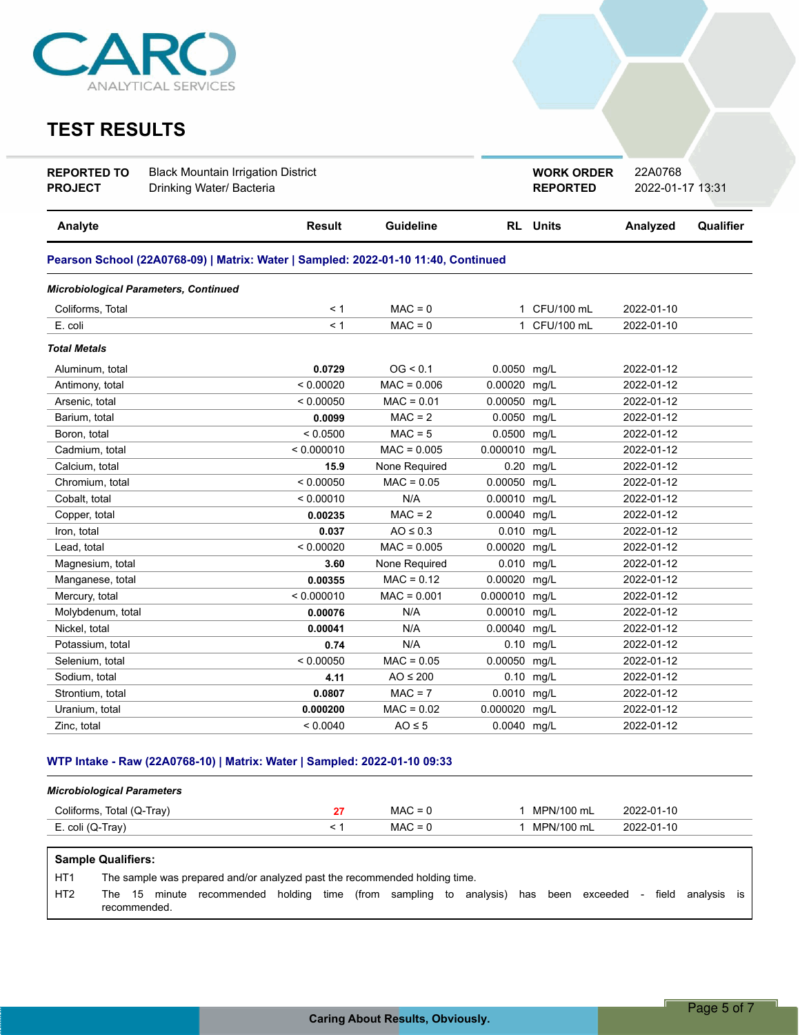

| <b>REPORTED TO</b><br><b>PROJECT</b> | <b>Black Mountain Irrigation District</b><br>Drinking Water/ Bacteria              |            |               |               | <b>WORK ORDER</b><br><b>REPORTED</b> | 22A0768<br>2022-01-17 13:31 |           |
|--------------------------------------|------------------------------------------------------------------------------------|------------|---------------|---------------|--------------------------------------|-----------------------------|-----------|
| Analyte                              |                                                                                    | Result     | Guideline     |               | <b>RL</b> Units                      | Analyzed                    | Qualifier |
|                                      | Pearson School (22A0768-09)   Matrix: Water   Sampled: 2022-01-10 11:40, Continued |            |               |               |                                      |                             |           |
|                                      | <b>Microbiological Parameters, Continued</b>                                       |            |               |               |                                      |                             |           |
| Coliforms, Total                     |                                                                                    | < 1        | $MAC = 0$     |               | 1 CFU/100 mL                         | 2022-01-10                  |           |
| E. coli                              |                                                                                    | < 1        | $MAC = 0$     | 1.            | CFU/100 mL                           | 2022-01-10                  |           |
| <b>Total Metals</b>                  |                                                                                    |            |               |               |                                      |                             |           |
| Aluminum, total                      |                                                                                    | 0.0729     | OG < 0.1      | 0.0050 mg/L   |                                      | 2022-01-12                  |           |
| Antimony, total                      |                                                                                    | < 0.00020  | $MAC = 0.006$ | 0.00020       | mg/L                                 | 2022-01-12                  |           |
| Arsenic, total                       |                                                                                    | < 0.00050  | $MAC = 0.01$  | 0.00050       | mg/L                                 | 2022-01-12                  |           |
| Barium, total                        |                                                                                    | 0.0099     | $MAC = 2$     | 0.0050 mg/L   |                                      | 2022-01-12                  |           |
| Boron, total                         |                                                                                    | < 0.0500   | $MAC = 5$     | 0.0500 mg/L   |                                      | 2022-01-12                  |           |
| Cadmium, total                       |                                                                                    | < 0.000010 | $MAC = 0.005$ | 0.000010 mg/L |                                      | 2022-01-12                  |           |
| Calcium, total                       |                                                                                    | 15.9       | None Required | 0.20          | mg/L                                 | 2022-01-12                  |           |
| Chromium, total                      |                                                                                    | < 0.00050  | $MAC = 0.05$  | 0.00050       | mg/L                                 | 2022-01-12                  |           |
| Cobalt, total                        |                                                                                    | < 0.00010  | N/A           | 0.00010 mg/L  |                                      | 2022-01-12                  |           |
| Copper, total                        |                                                                                    | 0.00235    | $MAC = 2$     | 0.00040 mg/L  |                                      | 2022-01-12                  |           |
| Iron, total                          |                                                                                    | 0.037      | $AO \leq 0.3$ | 0.010 mg/L    |                                      | 2022-01-12                  |           |
| Lead, total                          |                                                                                    | < 0.00020  | $MAC = 0.005$ | 0.00020       | mg/L                                 | 2022-01-12                  |           |
| Magnesium, total                     |                                                                                    | 3.60       | None Required | 0.010 mg/L    |                                      | 2022-01-12                  |           |
| Manganese, total                     |                                                                                    | 0.00355    | $MAC = 0.12$  | 0.00020 mg/L  |                                      | 2022-01-12                  |           |
| Mercury, total                       |                                                                                    | < 0.000010 | $MAC = 0.001$ | 0.000010 mg/L |                                      | 2022-01-12                  |           |
| Molybdenum, total                    |                                                                                    | 0.00076    | N/A           | 0.00010 mg/L  |                                      | 2022-01-12                  |           |
| Nickel, total                        |                                                                                    | 0.00041    | N/A           | 0.00040       | mg/L                                 | 2022-01-12                  |           |
| Potassium, total                     |                                                                                    | 0.74       | N/A           |               | 0.10 mg/L                            | 2022-01-12                  |           |
| Selenium, total                      |                                                                                    | < 0.00050  | $MAC = 0.05$  | 0.00050 mg/L  |                                      | 2022-01-12                  |           |
| Sodium, total                        |                                                                                    | 4.11       | $AO \leq 200$ | 0.10          | mg/L                                 | 2022-01-12                  |           |
| Strontium, total                     |                                                                                    | 0.0807     | $MAC = 7$     | 0.0010        | mg/L                                 | 2022-01-12                  |           |
| Uranium, total                       |                                                                                    | 0.000200   | $MAC = 0.02$  | 0.000020      | mg/L                                 | 2022-01-12                  |           |
| Zinc, total                          |                                                                                    | < 0.0040   | $AO \leq 5$   | 0.0040 mg/L   |                                      | 2022-01-12                  |           |

### **WTP Intake - Raw (22A0768-10) | Matrix: Water | Sampled: 2022-01-10 09:33**

| <b>Microbiological Parameters</b> |           |            |            |
|-----------------------------------|-----------|------------|------------|
| Coliforms, Total (Q-Tray)         | $MAC = 0$ | MPN/100 mL | 2022-01-10 |
| E. coli (Q-Tray)                  | $MAC = 0$ | MPN/100 mL | 2022-01-10 |

**Sample Qualifiers:**

HT1 The sample was prepared and/or analyzed past the recommended holding time.

HT2 The 15 minute recommended holding time (from sampling to analysis) has been exceeded - field analysis is recommended.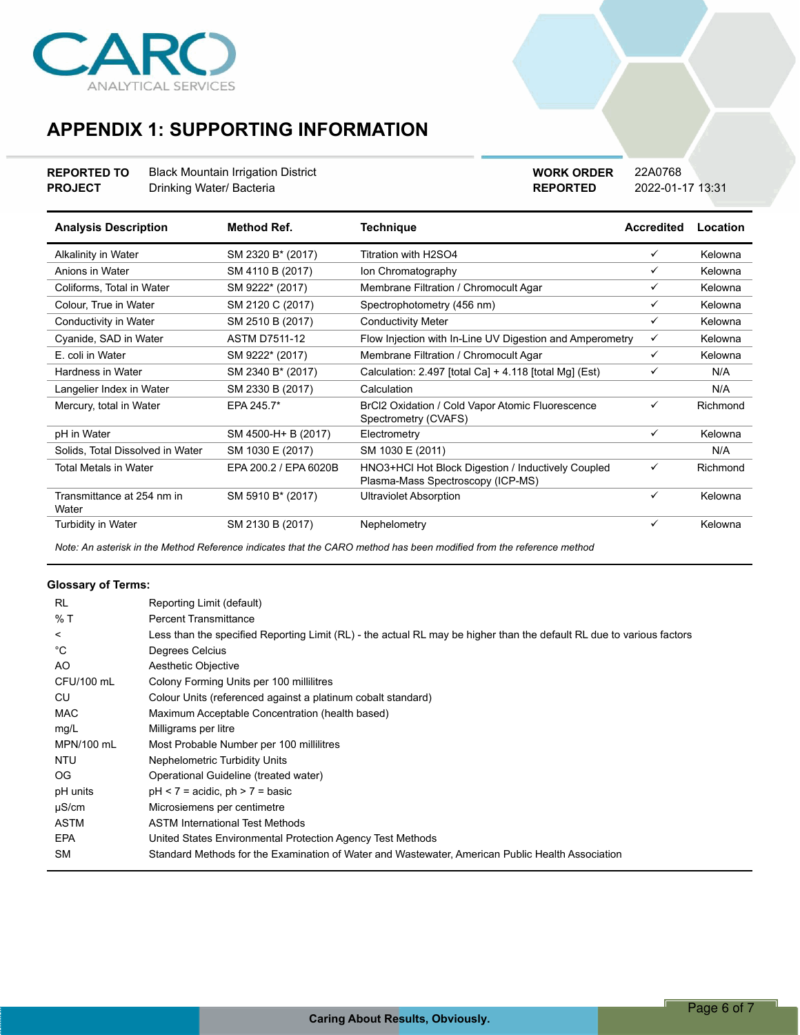

## **APPENDIX 1: SUPPORTING INFORMATION**

### **REPORTED TO** Black Mountain Irrigation District **PROJECT** Drinking Water/ Bacteria

**REPORTED** 2022-01-17 13:31 **WORK ORDER** 22A0768

| <b>Analysis Description</b>         | <b>Method Ref.</b>    | <b>Technique</b>                                                                        | <b>Accredited</b> | Location |
|-------------------------------------|-----------------------|-----------------------------------------------------------------------------------------|-------------------|----------|
| Alkalinity in Water                 | SM 2320 B* (2017)     | Titration with H2SO4                                                                    | ✓                 | Kelowna  |
| Anions in Water                     | SM 4110 B (2017)      | Ion Chromatography                                                                      | ✓                 | Kelowna  |
| Coliforms, Total in Water           | SM 9222* (2017)       | Membrane Filtration / Chromocult Agar                                                   | ✓                 | Kelowna  |
| Colour, True in Water               | SM 2120 C (2017)      | Spectrophotometry (456 nm)                                                              | ✓                 | Kelowna  |
| Conductivity in Water               | SM 2510 B (2017)      | <b>Conductivity Meter</b>                                                               | ✓                 | Kelowna  |
| Cyanide, SAD in Water               | <b>ASTM D7511-12</b>  | Flow Injection with In-Line UV Digestion and Amperometry                                | ✓                 | Kelowna  |
| E. coli in Water                    | SM 9222* (2017)       | Membrane Filtration / Chromocult Agar                                                   | ✓                 | Kelowna  |
| Hardness in Water                   | SM 2340 B* (2017)     | Calculation: 2.497 [total Ca] + 4.118 [total Mg] (Est)                                  | ✓                 | N/A      |
| Langelier Index in Water            | SM 2330 B (2017)      | Calculation                                                                             |                   | N/A      |
| Mercury, total in Water             | EPA 245.7*            | BrCl2 Oxidation / Cold Vapor Atomic Fluorescence<br>Spectrometry (CVAFS)                | ✓                 | Richmond |
| pH in Water                         | SM 4500-H+ B (2017)   | Electrometry                                                                            | ✓                 | Kelowna  |
| Solids, Total Dissolved in Water    | SM 1030 E (2017)      | SM 1030 E (2011)                                                                        |                   | N/A      |
| Total Metals in Water               | EPA 200.2 / EPA 6020B | HNO3+HCl Hot Block Digestion / Inductively Coupled<br>Plasma-Mass Spectroscopy (ICP-MS) | ✓                 | Richmond |
| Transmittance at 254 nm in<br>Water | SM 5910 B* (2017)     | <b>Ultraviolet Absorption</b>                                                           | ✓                 | Kelowna  |
| <b>Turbidity in Water</b>           | SM 2130 B (2017)      | Nephelometry                                                                            | ✓                 | Kelowna  |

*Note: An asterisk in the Method Reference indicates that the CARO method has been modified from the reference method*

#### **Glossary of Terms:**

| RL          | Reporting Limit (default)                                                                                             |
|-------------|-----------------------------------------------------------------------------------------------------------------------|
| % T         | <b>Percent Transmittance</b>                                                                                          |
| $\prec$     | Less than the specified Reporting Limit (RL) - the actual RL may be higher than the default RL due to various factors |
| °C          | Degrees Celcius                                                                                                       |
| AO.         | Aesthetic Objective                                                                                                   |
| CFU/100 mL  | Colony Forming Units per 100 millilitres                                                                              |
| CU          | Colour Units (referenced against a platinum cobalt standard)                                                          |
| <b>MAC</b>  | Maximum Acceptable Concentration (health based)                                                                       |
| mg/L        | Milligrams per litre                                                                                                  |
| MPN/100 mL  | Most Probable Number per 100 millilitres                                                                              |
| <b>NTU</b>  | <b>Nephelometric Turbidity Units</b>                                                                                  |
| OG          | Operational Guideline (treated water)                                                                                 |
| pH units    | $pH < 7$ = acidic, $ph > 7$ = basic                                                                                   |
| $\mu$ S/cm  | Microsiemens per centimetre                                                                                           |
| <b>ASTM</b> | <b>ASTM International Test Methods</b>                                                                                |
| <b>EPA</b>  | United States Environmental Protection Agency Test Methods                                                            |
| <b>SM</b>   | Standard Methods for the Examination of Water and Wastewater, American Public Health Association                      |